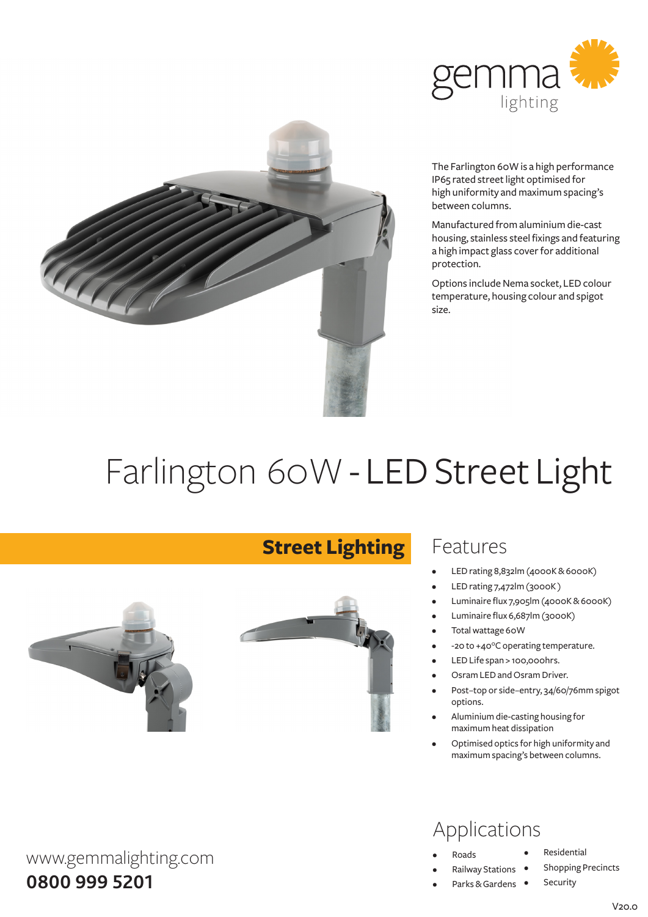



The Farlington 60W is a high performance IP65 rated street light optimised for high uniformity and maximum spacing's between columns.

Manufactured fromaluminiumdie-cast housing, stainless steel fixings and featuring a high impact glass cover for additional protection.

Options include Nema socket, LED colour temperature, housing colour and spigot size.

# Farlington 60W - LED Street Light

**Street Lighting**



#### Features

- LED rating 8,832lm (4000K & 6000K)
- LED rating 7,472lm (3000K)
- Luminaire flux 7,905lm (4000K&6000K)
- Luminaire flux 6,687lm (3000K)
- Total wattage 60W
- -20 to +40°C operating temperature.
- LED Life span > 100,000hrs.
- Osram LED and Osram Driver.
- Post-top or side-entry, 34/60/76mm spigot options.
- Aluminium die-casting housing for maximumheat dissipation
- Optimised optics for high uniformity and maximumspacing's between columns.

## Applications

- **Roads**
- **Railway Stations**
- Parks & Gardens •
- **Residential**
- **Shopping Precincts** 
	- Security

www.gemmalighting.com **0800 999 5201**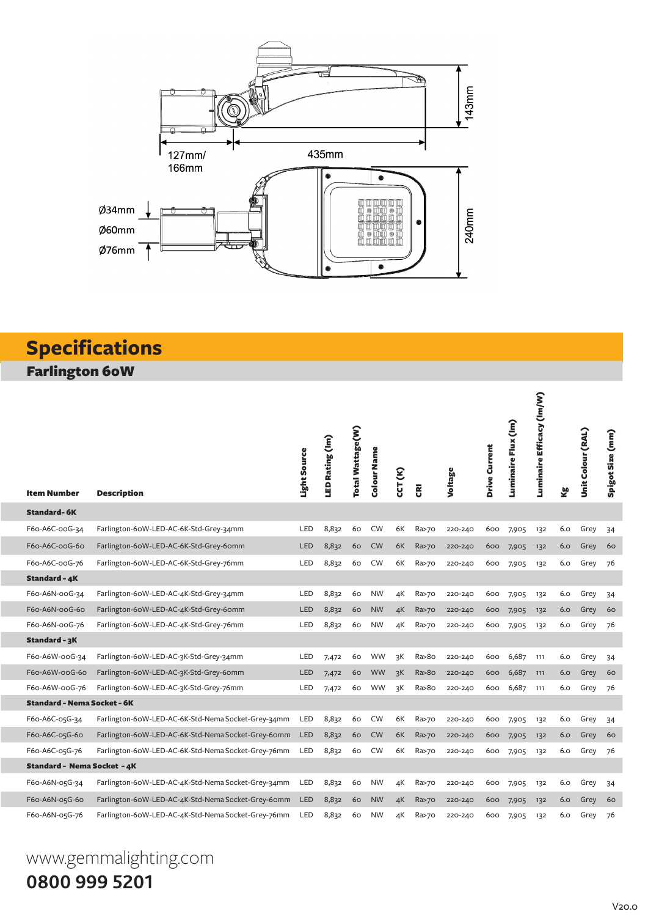

#### **Specifications** Farlington 60W

e.

| <b>Item Number</b>                 | <b>Description</b>                                 | Light Source | LED Rating (Im) | Total Wattage(W) | Colour Name | <b>CCT (K)</b> | $\overline{\mathbf{g}}$ | Voltage | Drive Current | Luminaire Flux (Im) | Luminaire Efficacy (Im/W) | kg<br>K | Unit Colour (RAL) | Spigot Size (mm) |
|------------------------------------|----------------------------------------------------|--------------|-----------------|------------------|-------------|----------------|-------------------------|---------|---------------|---------------------|---------------------------|---------|-------------------|------------------|
| <b>Standard-6K</b>                 |                                                    |              |                 |                  |             |                |                         |         |               |                     |                           |         |                   |                  |
| F60-A6C-00G-34                     | Farlington-60W-LED-AC-6K-Std-Grey-34mm             | LED          | 8,832           | 60               | <b>CW</b>   | 6K             | Ra>70                   | 220-240 | 600           | 7,905               | 132                       | 6.0     | Grey              | 34               |
| F60-A6C-00G-60                     | Farlington-60W-LED-AC-6K-Std-Grey-60mm             | <b>LED</b>   | 8,832           | 60               | <b>CW</b>   | 6K             | Ra>70                   | 220-240 | 600           | 7,905               | 132                       | 6.0     | Grey              | 60               |
| F60-A6C-00G-76                     | Farlington-60W-LED-AC-6K-Std-Grey-76mm             | LED          | 8,832           | 60               | <b>CW</b>   | 6K             | Ra>70                   | 220-240 | 600           | 7,905               | 132                       | 6.0     | Grey              | 76               |
| Standard - 4K                      |                                                    |              |                 |                  |             |                |                         |         |               |                     |                           |         |                   |                  |
| F60-A6N-00G-34                     | Farlington-60W-LED-AC-4K-Std-Grey-34mm             | LED          | 8,832           | 60               | <b>NW</b>   | 4К             | Ra>70                   | 220-240 | 600           | 7,905               | 132                       | 6.0     | Grey              | 34               |
| F60-A6N-00G-60                     | Farlington-60W-LED-AC-4K-Std-Grey-60mm             | <b>LED</b>   | 8,832           | 60               | <b>NW</b>   | 4К             | Ra>70                   | 220-240 | 600           | 7,905               | 132                       | 6.0     | Grey              | 60               |
| F60-A6N-00G-76                     | Farlington-60W-LED-AC-4K-Std-Grey-76mm             | LED          | 8,832           | 60               | <b>NW</b>   | 4К             | Ra>70                   | 220-240 | 600           | 7,905               | 132                       | 6.0     | Grey              | 76               |
| Standard - 3K                      |                                                    |              |                 |                  |             |                |                         |         |               |                     |                           |         |                   |                  |
| F60-A6W-00G-34                     | Farlington-60W-LED-AC-3K-Std-Grey-34mm             | LED          | 7,472           | 60               | <b>WW</b>   | зK             | Ra>8o                   | 220-240 | 600           | 6,687               | 111                       | 6.0     | Grey              | 34               |
| F60-A6W-00G-60                     | Farlington-60W-LED-AC-3K-Std-Grey-60mm             | LED          | 7,472           | 60               | <b>WW</b>   | зK             | Ra > 80                 | 220-240 | 600           | 6,687               | 111                       | 6.0     | Grey              | 60               |
| F60-A6W-00G-76                     | Farlington-60W-LED-AC-3K-Std-Grey-76mm             | LED          | 7,472           | 60               | WW          | зK             | Ra>8o                   | 220-240 | 600           | 6,687               | 111                       | 6.0     | Grey              | 76               |
| <b>Standard - Nema Socket - 6K</b> |                                                    |              |                 |                  |             |                |                         |         |               |                     |                           |         |                   |                  |
| F60-A6C-05G-34                     | Farlington-60W-LED-AC-6K-Std-Nema Socket-Grey-34mm | LED          | 8,832           | 60               | <b>CW</b>   | 6K             | Ra>70                   | 220-240 | 600           | 7,905               | 132                       | 6.0     | Grey              | 34               |
| F60-A6C-05G-60                     | Farlington-60W-LED-AC-6K-Std-Nema Socket-Grey-60mm | <b>LED</b>   | 8,832           | 60               | <b>CW</b>   | 6K             | Ra>70                   | 220-240 | 600           | 7,905               | 132                       | 6.0     | Grey              | 60               |
| F60-A6C-05G-76                     | Farlington-60W-LED-AC-6K-Std-Nema Socket-Grey-76mm | LED          | 8,832           | 60               | <b>CW</b>   | 6K             | Ra>70                   | 220-240 | 600           | 7,905               | 132                       | 6.0     | Grey              | 76               |
| <b>Standard - Nema Socket - 4K</b> |                                                    |              |                 |                  |             |                |                         |         |               |                     |                           |         |                   |                  |
| F60-A6N-05G-34                     | Farlington-60W-LED-AC-4K-Std-Nema Socket-Grey-34mm | LED          | 8,832           | 60               | <b>NW</b>   | 4К             | Ra>70                   | 220-240 | 600           | 7,905               | 132                       | 6.0     | Grey              | 34               |
| F60-A6N-05G-60                     | Farlington-60W-LED-AC-4K-Std-Nema Socket-Grey-60mm | <b>LED</b>   | 8,832           | 60               | <b>NW</b>   | 4K             | Ra>70                   | 220-240 | 600           | 7,905               | 132                       | 6.0     | Grey              | 60               |
| F60-A6N-05G-76                     | Farlington-60W-LED-AC-4K-Std-Nema Socket-Grey-76mm | LED          | 8,832           | 60               | <b>NW</b>   | 4К             | Ra>70                   | 220-240 | 600           | 7,905               | 132                       | 6.0     | Grey              | 76               |

## www.gemmalighting.com **0800 999 5201**